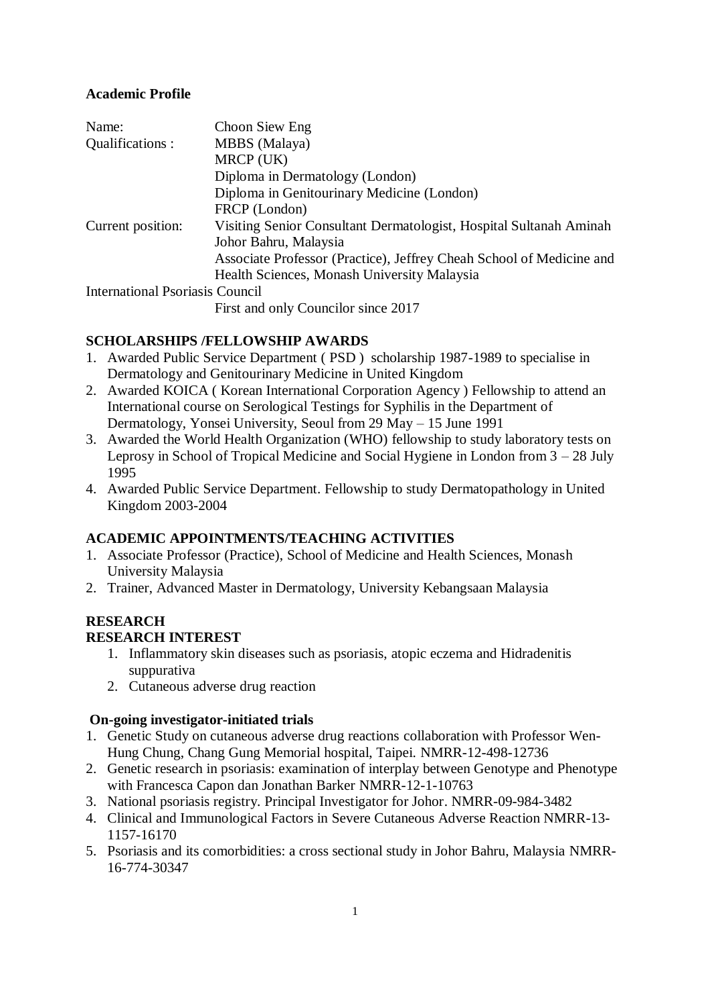# **Academic Profile**

| Name:                                  | Choon Siew Eng                                                                              |
|----------------------------------------|---------------------------------------------------------------------------------------------|
| Qualifications :                       | <b>MBBS</b> (Malaya)                                                                        |
|                                        | MRCP (UK)                                                                                   |
|                                        | Diploma in Dermatology (London)                                                             |
|                                        | Diploma in Genitourinary Medicine (London)                                                  |
|                                        | FRCP (London)                                                                               |
| Current position:                      | Visiting Senior Consultant Dermatologist, Hospital Sultanah Aminah<br>Johor Bahru, Malaysia |
|                                        | Associate Professor (Practice), Jeffrey Cheah School of Medicine and                        |
|                                        | Health Sciences, Monash University Malaysia                                                 |
| <b>International Psoriasis Council</b> |                                                                                             |
|                                        | Executed only Compiler since $2017$                                                         |

First and only Councilor since 2017

# **SCHOLARSHIPS /FELLOWSHIP AWARDS**

- 1. Awarded Public Service Department ( PSD ) scholarship 1987-1989 to specialise in Dermatology and Genitourinary Medicine in United Kingdom
- 2. Awarded KOICA ( Korean International Corporation Agency ) Fellowship to attend an International course on Serological Testings for Syphilis in the Department of Dermatology, Yonsei University, Seoul from 29 May – 15 June 1991
- 3. Awarded the World Health Organization (WHO) fellowship to study laboratory tests on Leprosy in School of Tropical Medicine and Social Hygiene in London from 3 – 28 July 1995
- 4. Awarded Public Service Department. Fellowship to study Dermatopathology in United Kingdom 2003-2004

# **ACADEMIC APPOINTMENTS/TEACHING ACTIVITIES**

- 1. Associate Professor (Practice), School of Medicine and Health Sciences, Monash University Malaysia
- 2. Trainer, Advanced Master in Dermatology, University Kebangsaan Malaysia

# **RESEARCH**

# **RESEARCH INTEREST**

- 1. Inflammatory skin diseases such as psoriasis, atopic eczema and Hidradenitis suppurativa
- 2. Cutaneous adverse drug reaction

# **On-going investigator-initiated trials**

- 1. Genetic Study on cutaneous adverse drug reactions collaboration with Professor Wen-Hung Chung, Chang Gung Memorial hospital, Taipei. NMRR-12-498-12736
- 2. Genetic research in psoriasis: examination of interplay between Genotype and Phenotype with Francesca Capon dan Jonathan Barker NMRR-12-1-10763
- 3. National psoriasis registry. Principal Investigator for Johor. NMRR-09-984-3482
- 4. Clinical and Immunological Factors in Severe Cutaneous Adverse Reaction NMRR-13- 1157-16170
- 5. Psoriasis and its comorbidities: a cross sectional study in Johor Bahru, Malaysia NMRR-16-774-30347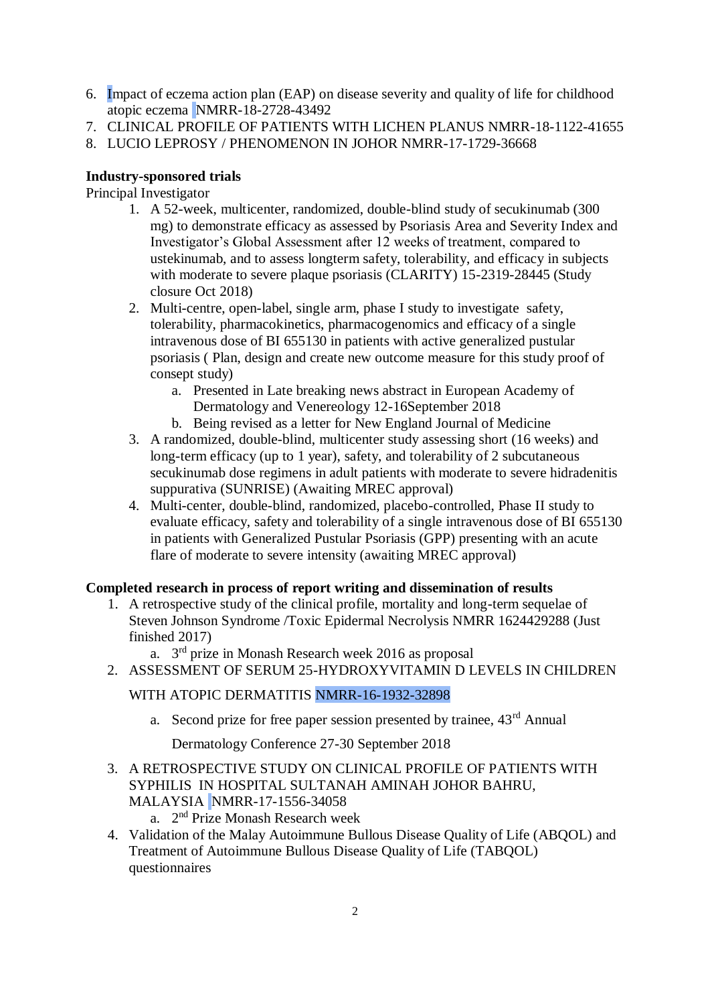- 6. Impact of eczema action plan (EAP) on disease severity and quality of life for childhood atopic eczema NMRR-18-2728-43492
- 7. CLINICAL PROFILE OF PATIENTS WITH LICHEN PLANUS NMRR-18-1122-41655
- 8. LUCIO LEPROSY / PHENOMENON IN JOHOR NMRR-17-1729-36668

# **Industry-sponsored trials**

# Principal Investigator

- 1. A 52-week, multicenter, randomized, double-blind study of secukinumab (300 mg) to demonstrate efficacy as assessed by Psoriasis Area and Severity Index and Investigator's Global Assessment after 12 weeks of treatment, compared to ustekinumab, and to assess longterm safety, tolerability, and efficacy in subjects with moderate to severe plaque psoriasis (CLARITY) 15-2319-28445 (Study closure Oct 2018)
- 2. Multi-centre, open-label, single arm, phase I study to investigate safety, tolerability, pharmacokinetics, pharmacogenomics and efficacy of a single intravenous dose of BI 655130 in patients with active generalized pustular psoriasis ( Plan, design and create new outcome measure for this study proof of consept study)
	- a. Presented in Late breaking news abstract in European Academy of Dermatology and Venereology 12-16September 2018
	- b. Being revised as a letter for New England Journal of Medicine
- 3. A randomized, double-blind, multicenter study assessing short (16 weeks) and long-term efficacy (up to 1 year), safety, and tolerability of 2 subcutaneous secukinumab dose regimens in adult patients with moderate to severe hidradenitis suppurativa (SUNRISE) (Awaiting MREC approval)
- 4. Multi-center, double-blind, randomized, placebo-controlled, Phase II study to evaluate efficacy, safety and tolerability of a single intravenous dose of BI 655130 in patients with Generalized Pustular Psoriasis (GPP) presenting with an acute flare of moderate to severe intensity (awaiting MREC approval)

# **Completed research in process of report writing and dissemination of results**

- 1. A retrospective study of the clinical profile, mortality and long-term sequelae of Steven Johnson Syndrome /Toxic Epidermal Necrolysis NMRR 1624429288 (Just finished 2017)
	- a. 3<sup>rd</sup> prize in Monash Research week 2016 as proposal
- 2. ASSESSMENT OF SERUM 25-HYDROXYVITAMIN D LEVELS IN CHILDREN

# WITH ATOPIC DERMATITIS NMRR-16-1932-32898

a. Second prize for free paper session presented by trainee,  $43<sup>rd</sup>$  Annual

Dermatology Conference 27-30 September 2018

- 3. A RETROSPECTIVE STUDY ON CLINICAL PROFILE OF PATIENTS WITH SYPHILIS IN HOSPITAL SULTANAH AMINAH JOHOR BAHRU, MALAYSIA NMRR-17-1556-34058
	- a. 2<sup>nd</sup> Prize Monash Research week
- 4. Validation of the Malay Autoimmune Bullous Disease Quality of Life (ABQOL) and Treatment of Autoimmune Bullous Disease Quality of Life (TABQOL) questionnaires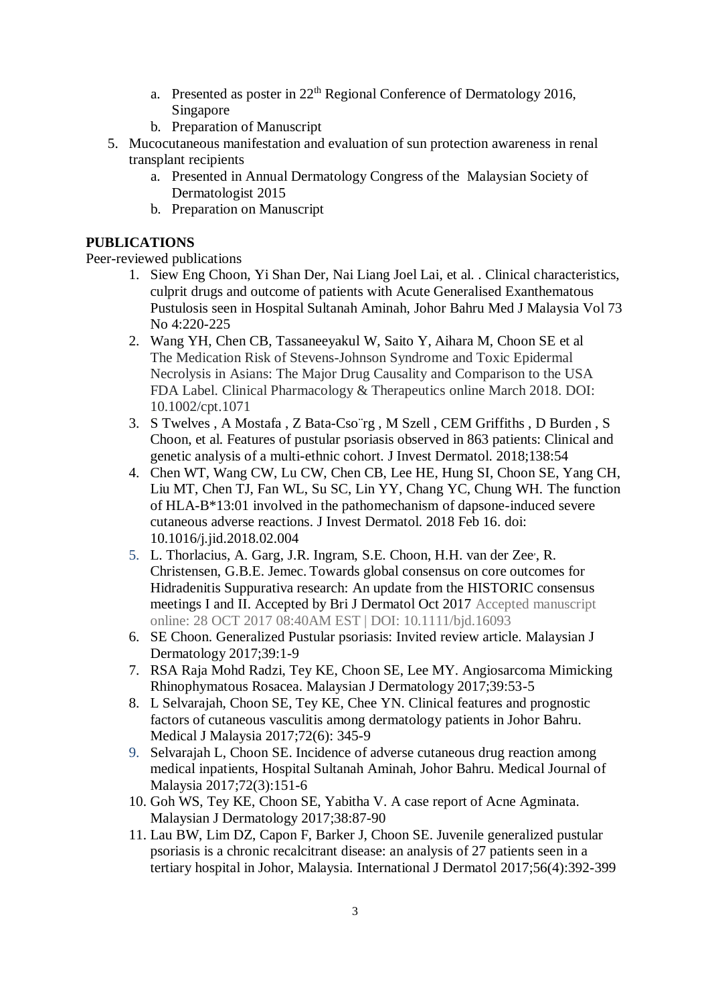- a. Presented as poster in  $22<sup>th</sup>$  Regional Conference of Dermatology 2016, Singapore
- b. Preparation of Manuscript
- 5. Mucocutaneous manifestation and evaluation of sun protection awareness in renal transplant recipients
	- a. Presented in Annual Dermatology Congress of the Malaysian Society of Dermatologist 2015
	- b. Preparation on Manuscript

# **PUBLICATIONS**

Peer-reviewed publications

- 1. Siew Eng Choon, Yi Shan Der, Nai Liang Joel Lai, et al. . Clinical characteristics, culprit drugs and outcome of patients with Acute Generalised Exanthematous Pustulosis seen in Hospital Sultanah Aminah, Johor Bahru Med J Malaysia Vol 73 No 4:220-225
- 2. [Wang YH,](https://www.ncbi.nlm.nih.gov/pubmed/?term=Wang%20YH%5BAuthor%5D&cauthor=true&cauthor_uid=29569740) [Chen CB,](https://www.ncbi.nlm.nih.gov/pubmed/?term=Chen%20CB%5BAuthor%5D&cauthor=true&cauthor_uid=29569740) [Tassaneeyakul W,](https://www.ncbi.nlm.nih.gov/pubmed/?term=Tassaneeyakul%20W%5BAuthor%5D&cauthor=true&cauthor_uid=29569740) [Saito Y,](https://www.ncbi.nlm.nih.gov/pubmed/?term=Saito%20Y%5BAuthor%5D&cauthor=true&cauthor_uid=29569740) [Aihara M,](https://www.ncbi.nlm.nih.gov/pubmed/?term=Aihara%20M%5BAuthor%5D&cauthor=true&cauthor_uid=29569740) [Choon SE](https://www.ncbi.nlm.nih.gov/pubmed/?term=Choon%20SE%5BAuthor%5D&cauthor=true&cauthor_uid=29569740) et al The Medication Risk of Stevens-Johnson Syndrome and Toxic Epidermal Necrolysis in Asians: The Major Drug Causality and Comparison to the USA FDA Label. Clinical Pharmacology & Therapeutics online March 2018. DOI: 10.1002/cpt.1071
- 3. S Twelves , A Mostafa , Z Bata-Cso¨rg , M Szell , CEM Griffiths , D Burden , S Choon, et al. Features of pustular psoriasis observed in 863 patients: Clinical and genetic analysis of a multi-ethnic cohort. J Invest Dermatol. 2018;138:54
- 4. Chen WT, Wang CW, Lu CW, Chen CB, Lee HE, Hung SI, Choon SE, Yang CH, Liu MT, Chen TJ, Fan WL, Su SC, Lin YY, Chang YC, Chung WH. The function of HLA-B\*13:01 involved in the pathomechanism of dapsone-induced severe cutaneous adverse reactions. J Invest Dermatol. 2018 Feb 16. doi: 10.1016/j.jid.2018.02.004
- 5. L. Thorlacius, A. Garg, J.R. Ingram, S.E. Choon, H.H. van der Zee, R. Christensen, G.B.E. Jemec. Towards global consensus on core outcomes for Hidradenitis Suppurativa research: An update from the HISTORIC consensus meetings I and II. Accepted by Bri J Dermatol Oct 2017 Accepted manuscript online: 28 OCT 2017 08:40AM EST | DOI: 10.1111/bjd.16093
- 6. SE Choon. Generalized Pustular psoriasis: Invited review article. Malaysian J Dermatology 2017;39:1-9
- 7. RSA Raja Mohd Radzi, Tey KE, Choon SE, Lee MY. Angiosarcoma Mimicking Rhinophymatous Rosacea. Malaysian J Dermatology 2017;39:53-5
- 8. L Selvarajah, Choon SE, Tey KE, Chee YN. Clinical features and prognostic factors of cutaneous vasculitis among dermatology patients in Johor Bahru. Medical J Malaysia 2017;72(6): 345-9
- 9. Selvarajah L, Choon SE. Incidence of adverse cutaneous drug reaction among medical inpatients, Hospital Sultanah Aminah, Johor Bahru. Medical Journal of Malaysia 2017;72(3):151-6
- 10. Goh WS, Tey KE, Choon SE, Yabitha V. A case report of Acne Agminata. Malaysian J Dermatology 2017;38:87-90
- 11. Lau BW, Lim DZ, Capon F, Barker J, Choon SE. Juvenile generalized pustular psoriasis is a chronic recalcitrant disease: an analysis of 27 patients seen in a tertiary hospital in Johor, Malaysia. International J Dermatol 2017;56(4):392-399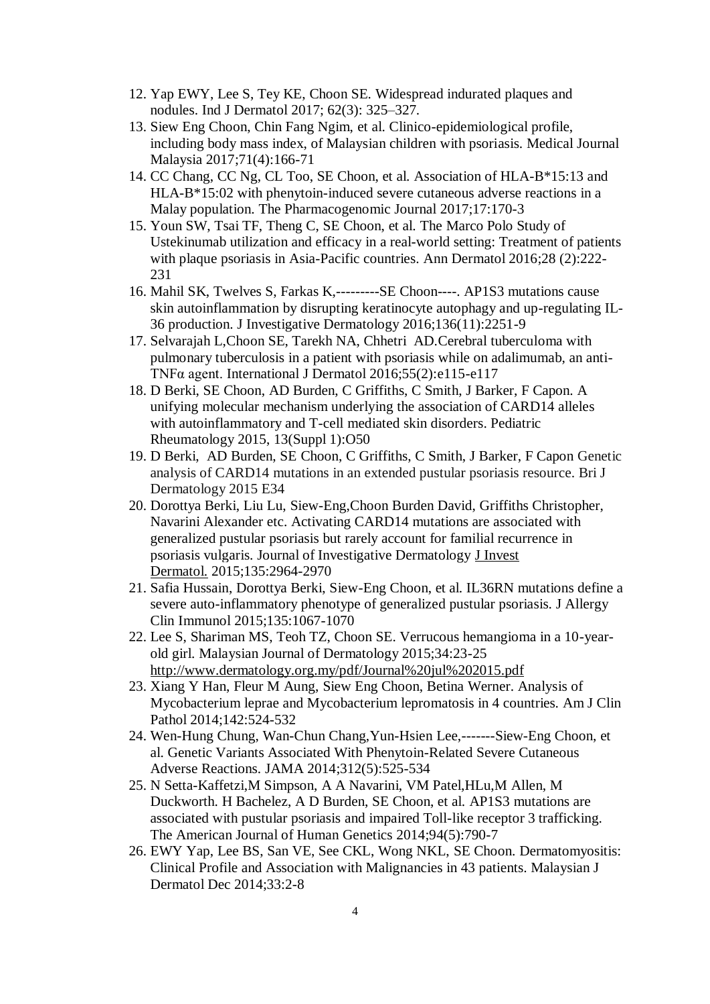- 12. Yap EWY, Lee S, Tey KE, Choon SE. Widespread indurated plaques and nodules. Ind J Dermatol 2017; 62(3): 325–327.
- 13. Siew Eng Choon, Chin Fang Ngim, et al. Clinico-epidemiological profile, including body mass index, of Malaysian children with psoriasis. Medical Journal Malaysia 2017;71(4):166-71
- 14. CC Chang, CC Ng, CL Too, SE Choon, et al. Association of HLA-B\*15:13 and HLA-B\*15:02 with phenytoin-induced severe cutaneous adverse reactions in a Malay population. The Pharmacogenomic Journal 2017;17:170-3
- 15. Youn SW, Tsai TF, Theng C, SE Choon, et al. The Marco Polo Study of Ustekinumab utilization and efficacy in a real-world setting: Treatment of patients with plaque psoriasis in Asia-Pacific countries. Ann Dermatol 2016;28 (2):222- 231
- 16. Mahil SK, Twelves S, Farkas K,---------SE Choon----. AP1S3 mutations cause skin autoinflammation by disrupting keratinocyte autophagy and up-regulating IL-36 production. J Investigative Dermatology 2016;136(11):2251-9
- 17. Selvarajah L,Choon SE, Tarekh NA, Chhetri AD.Cerebral tuberculoma with pulmonary tuberculosis in a patient with psoriasis while on adalimumab, an anti-TNFα agent. International J Dermatol 2016;55(2):e115-e117
- 18. D Berki, SE Choon, AD Burden, C Griffiths, C Smith, J Barker, F Capon. A unifying molecular mechanism underlying the association of CARD14 alleles with autoinflammatory and T-cell mediated skin disorders. Pediatric Rheumatology 2015, 13(Suppl 1):O50
- 19. D Berki, AD Burden, SE Choon, C Griffiths, C Smith, J Barker, F Capon Genetic analysis of CARD14 mutations in an extended pustular psoriasis resource. Bri J Dermatology 2015 E34
- 20. Dorottya Berki, Liu Lu, Siew-Eng,Choon Burden David, Griffiths Christopher, Navarini Alexander etc. Activating CARD14 mutations are associated with generalized pustular psoriasis but rarely account for familial recurrence in psoriasis vulgaris. Journal of Investigative Dermatology [J Invest](http://www.ncbi.nlm.nih.gov/pubmed/26203641)  [Dermatol.](http://www.ncbi.nlm.nih.gov/pubmed/26203641) 2015;135:2964-2970
- 21. Safia Hussain, Dorottya Berki, Siew-Eng Choon, et al. IL36RN mutations define a severe auto-inflammatory phenotype of generalized pustular psoriasis. J Allergy Clin Immunol 2015;135:1067-1070
- 22. Lee S, Shariman MS, Teoh TZ, Choon SE. Verrucous hemangioma in a 10-yearold girl. Malaysian Journal of Dermatology 2015;34:23-25 <http://www.dermatology.org.my/pdf/Journal%20jul%202015.pdf>
- 23. Xiang Y Han, Fleur M Aung, Siew Eng Choon, Betina Werner. Analysis of Mycobacterium leprae and Mycobacterium lepromatosis in 4 countries. Am J Clin Pathol 2014;142:524-532
- 24. Wen-Hung Chung, Wan-Chun Chang,Yun-Hsien Lee,-------Siew-Eng Choon, et al. Genetic Variants Associated With Phenytoin-Related Severe Cutaneous Adverse Reactions. JAMA 2014;312(5):525-534
- 25. N Setta-Kaffetzi,M Simpson, A A Navarini, VM Patel,HLu,M Allen, M Duckworth. H Bachelez, A D Burden, SE Choon, et al. AP1S3 mutations are associated with pustular psoriasis and impaired Toll-like receptor 3 trafficking. The American Journal of Human Genetics 2014;94(5):790-7
- 26. EWY Yap, Lee BS, San VE, See CKL, Wong NKL, SE Choon. Dermatomyositis: Clinical Profile and Association with Malignancies in 43 patients. Malaysian J Dermatol Dec 2014;33:2-8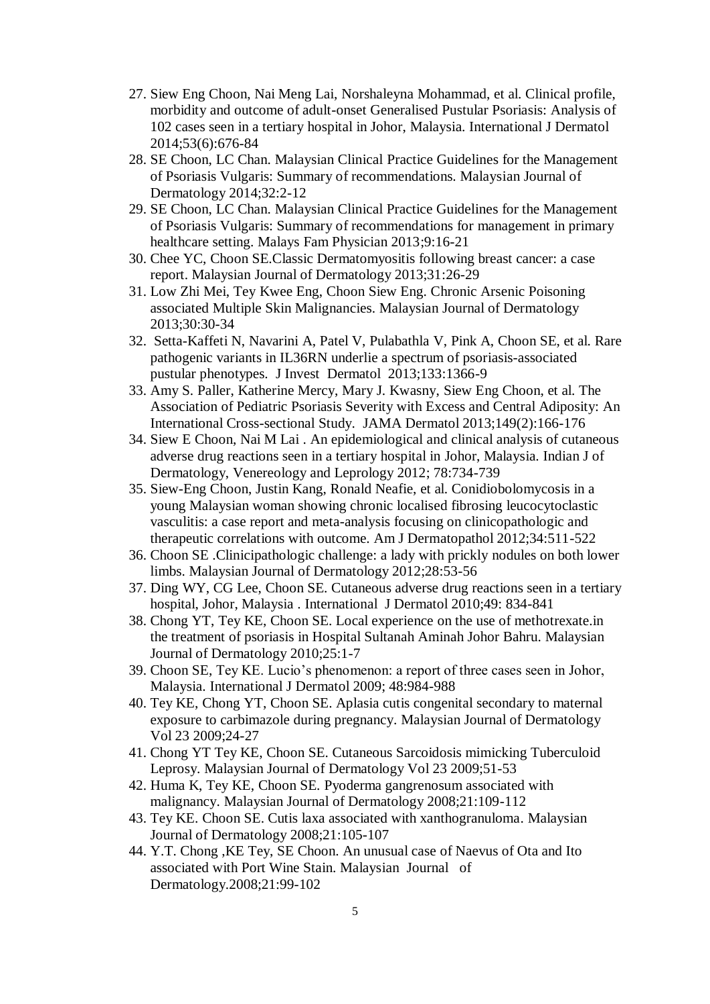- 27. Siew Eng Choon, Nai Meng Lai, Norshaleyna Mohammad, et al. Clinical profile, morbidity and outcome of adult-onset Generalised Pustular Psoriasis: Analysis of 102 cases seen in a tertiary hospital in Johor, Malaysia. International J Dermatol 2014;53(6):676-84
- 28. SE Choon, LC Chan. Malaysian Clinical Practice Guidelines for the Management of Psoriasis Vulgaris: Summary of recommendations. Malaysian Journal of Dermatology 2014;32:2-12
- 29. SE Choon, LC Chan. Malaysian Clinical Practice Guidelines for the Management of Psoriasis Vulgaris: Summary of recommendations for management in primary healthcare setting. Malays Fam Physician 2013;9:16-21
- 30. Chee YC, Choon SE.Classic Dermatomyositis following breast cancer: a case report. Malaysian Journal of Dermatology 2013;31:26-29
- 31. Low Zhi Mei, Tey Kwee Eng, Choon Siew Eng. Chronic Arsenic Poisoning associated Multiple Skin Malignancies. Malaysian Journal of Dermatology 2013;30:30-34
- 32. Setta-Kaffeti N, Navarini A, Patel V, Pulabathla V, Pink A, Choon SE, et al. Rare pathogenic variants in IL36RN underlie a spectrum of psoriasis-associated pustular phenotypes. J Invest Dermatol 2013;133:1366-9
- 33. Amy S. Paller, Katherine Mercy, Mary J. Kwasny, Siew Eng Choon, et al. The Association of Pediatric Psoriasis Severity with Excess and Central Adiposity: An International Cross-sectional Study. JAMA Dermatol 2013;149(2):166-176
- 34. Siew E Choon, Nai M Lai . An epidemiological and clinical analysis of cutaneous adverse drug reactions seen in a tertiary hospital in Johor, Malaysia. Indian J of Dermatology, Venereology and Leprology 2012; 78:734-739
- 35. Siew-Eng Choon, Justin Kang, Ronald Neafie, et al. Conidiobolomycosis in a young Malaysian woman showing chronic localised fibrosing leucocytoclastic vasculitis: a case report and meta-analysis focusing on clinicopathologic and therapeutic correlations with outcome. Am J Dermatopathol 2012;34:511-522
- 36. Choon SE .Clinicipathologic challenge: a lady with prickly nodules on both lower limbs. Malaysian Journal of Dermatology 2012;28:53-56
- 37. Ding WY, CG Lee, Choon SE. Cutaneous adverse drug reactions seen in a tertiary hospital, Johor, Malaysia . International J Dermatol 2010;49: 834-841
- 38. Chong YT, Tey KE, Choon SE. Local experience on the use of methotrexate.in the treatment of psoriasis in Hospital Sultanah Aminah Johor Bahru. Malaysian Journal of Dermatology 2010;25:1-7
- 39. Choon SE, Tey KE. Lucio's phenomenon: a report of three cases seen in Johor, Malaysia. International J Dermatol 2009; 48:984-988
- 40. Tey KE, Chong YT, Choon SE. Aplasia cutis congenital secondary to maternal exposure to carbimazole during pregnancy. Malaysian Journal of Dermatology Vol 23 2009;24-27
- 41. Chong YT Tey KE, Choon SE. Cutaneous Sarcoidosis mimicking Tuberculoid Leprosy. Malaysian Journal of Dermatology Vol 23 2009;51-53
- 42. Huma K, Tey KE, Choon SE. Pyoderma gangrenosum associated with malignancy. Malaysian Journal of Dermatology 2008;21:109-112
- 43. Tey KE. Choon SE. Cutis laxa associated with xanthogranuloma. Malaysian Journal of Dermatology 2008;21:105-107
- 44. Y.T. Chong ,KE Tey, SE Choon. An unusual case of Naevus of Ota and Ito associated with Port Wine Stain. Malaysian Journal of Dermatology.2008;21:99-102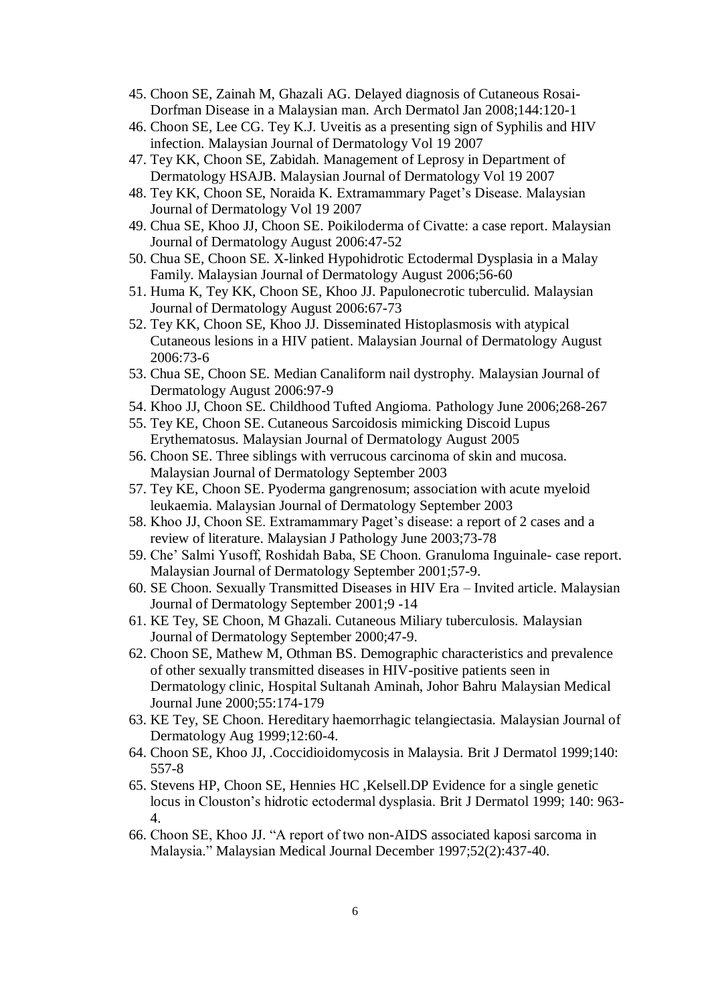- 45. Choon SE, Zainah M, Ghazali AG. Delayed diagnosis of Cutaneous Rosai-Dorfman Disease in a Malaysian man. Arch Dermatol Jan 2008;144:120-1
- 46. Choon SE, Lee CG. Tey K.J. Uveitis as a presenting sign of Syphilis and HIV infection. Malaysian Journal of Dermatology Vol 19 2007
- 47. Tey KK, Choon SE, Zabidah. Management of Leprosy in Department of Dermatology HSAJB. Malaysian Journal of Dermatology Vol 19 2007
- 48. Tey KK, Choon SE, Noraida K. Extramammary Paget's Disease. Malaysian Journal of Dermatology Vol 19 2007
- 49. Chua SE, Khoo JJ, Choon SE. Poikiloderma of Civatte: a case report. Malaysian Journal of Dermatology August 2006:47-52
- 50. Chua SE, Choon SE. X-linked Hypohidrotic Ectodermal Dysplasia in a Malay Family. Malaysian Journal of Dermatology August 2006;56-60
- 51. Huma K, Tey KK, Choon SE, Khoo JJ. Papulonecrotic tuberculid. Malaysian Journal of Dermatology August 2006:67-73
- 52. Tey KK, Choon SE, Khoo JJ. Disseminated Histoplasmosis with atypical Cutaneous lesions in a HIV patient. Malaysian Journal of Dermatology August 2006:73-6
- 53. Chua SE, Choon SE. Median Canaliform nail dystrophy. Malaysian Journal of Dermatology August 2006:97-9
- 54. Khoo JJ, Choon SE. Childhood Tufted Angioma. Pathology June 2006;268-267
- 55. Tey KE, Choon SE. Cutaneous Sarcoidosis mimicking Discoid Lupus Erythematosus. Malaysian Journal of Dermatology August 2005
- 56. Choon SE. Three siblings with verrucous carcinoma of skin and mucosa. Malaysian Journal of Dermatology September 2003
- 57. Tey KE, Choon SE. Pyoderma gangrenosum; association with acute myeloid leukaemia. Malaysian Journal of Dermatology September 2003
- 58. Khoo JJ, Choon SE. Extramammary Paget's disease: a report of 2 cases and a review of literature. Malaysian J Pathology June 2003;73-78
- 59. Che' Salmi Yusoff, Roshidah Baba, SE Choon. Granuloma Inguinale- case report. Malaysian Journal of Dermatology September 2001;57-9.
- 60. SE Choon. Sexually Transmitted Diseases in HIV Era Invited article. Malaysian Journal of Dermatology September 2001;9 -14
- 61. KE Tey, SE Choon, M Ghazali. Cutaneous Miliary tuberculosis. Malaysian Journal of Dermatology September 2000;47-9.
- 62. Choon SE, Mathew M, Othman BS. Demographic characteristics and prevalence of other sexually transmitted diseases in HIV-positive patients seen in Dermatology clinic, Hospital Sultanah Aminah, Johor Bahru Malaysian Medical Journal June 2000;55:174-179
- 63. KE Tey, SE Choon. Hereditary haemorrhagic telangiectasia. Malaysian Journal of Dermatology Aug 1999;12:60-4.
- 64. Choon SE, Khoo JJ, .Coccidioidomycosis in Malaysia. Brit J Dermatol 1999;140: 557-8
- 65. Stevens HP, Choon SE, Hennies HC ,Kelsell.DP Evidence for a single genetic locus in Clouston's hidrotic ectodermal dysplasia. Brit J Dermatol 1999; 140: 963- 4.
- 66. Choon SE, Khoo JJ. "A report of two non-AIDS associated kaposi sarcoma in Malaysia." Malaysian Medical Journal December 1997;52(2):437-40.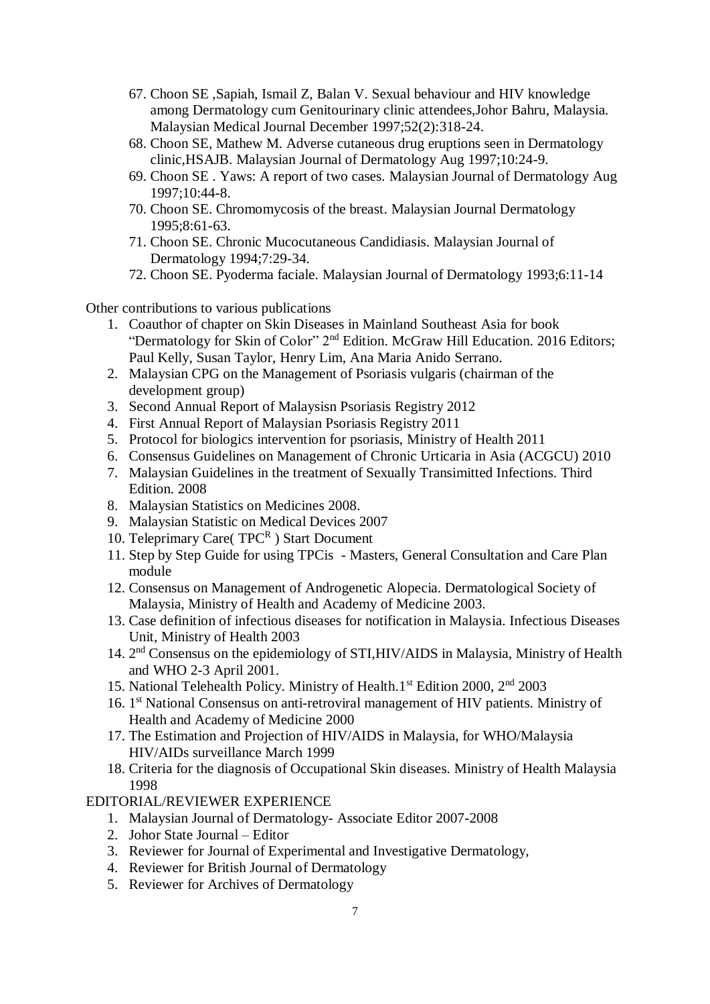- 67. Choon SE ,Sapiah, Ismail Z, Balan V. Sexual behaviour and HIV knowledge among Dermatology cum Genitourinary clinic attendees,Johor Bahru, Malaysia. Malaysian Medical Journal December 1997;52(2):318-24.
- 68. Choon SE, Mathew M. Adverse cutaneous drug eruptions seen in Dermatology clinic,HSAJB. Malaysian Journal of Dermatology Aug 1997;10:24-9.
- 69. Choon SE . Yaws: A report of two cases. Malaysian Journal of Dermatology Aug 1997;10:44-8.
- 70. Choon SE. Chromomycosis of the breast. Malaysian Journal Dermatology 1995;8:61-63.
- 71. Choon SE. Chronic Mucocutaneous Candidiasis. Malaysian Journal of Dermatology 1994;7:29-34.
- 72. Choon SE. Pyoderma faciale. Malaysian Journal of Dermatology 1993;6:11-14

Other contributions to various publications

- 1. Coauthor of chapter on Skin Diseases in Mainland Southeast Asia for book "Dermatology for Skin of Color" 2nd Edition. McGraw Hill Education. 2016 Editors; Paul Kelly, Susan Taylor, Henry Lim, Ana Maria Anido Serrano.
- 2. Malaysian CPG on the Management of Psoriasis vulgaris (chairman of the development group)
- 3. Second Annual Report of Malaysisn Psoriasis Registry 2012
- 4. First Annual Report of Malaysian Psoriasis Registry 2011
- 5. Protocol for biologics intervention for psoriasis, Ministry of Health 2011
- 6. Consensus Guidelines on Management of Chronic Urticaria in Asia (ACGCU) 2010
- 7. Malaysian Guidelines in the treatment of Sexually Transimitted Infections. Third Edition. 2008
- 8. Malaysian Statistics on Medicines 2008.
- 9. Malaysian Statistic on Medical Devices 2007
- 10. Teleprimary Care(TPCR) Start Document
- 11. Step by Step Guide for using TPCis Masters, General Consultation and Care Plan module
- 12. Consensus on Management of Androgenetic Alopecia. Dermatological Society of Malaysia, Ministry of Health and Academy of Medicine 2003.
- 13. Case definition of infectious diseases for notification in Malaysia. Infectious Diseases Unit, Ministry of Health 2003
- 14. 2<sup>nd</sup> Consensus on the epidemiology of STI,HIV/AIDS in Malaysia, Ministry of Health and WHO 2-3 April 2001.
- 15. National Telehealth Policy. Ministry of Health.1<sup>st</sup> Edition 2000, 2<sup>nd</sup> 2003
- 16. 1<sup>st</sup> National Consensus on anti-retroviral management of HIV patients. Ministry of Health and Academy of Medicine 2000
- 17. The Estimation and Projection of HIV/AIDS in Malaysia, for WHO/Malaysia HIV/AIDs surveillance March 1999
- 18. Criteria for the diagnosis of Occupational Skin diseases. Ministry of Health Malaysia 1998

EDITORIAL/REVIEWER EXPERIENCE

- 1. Malaysian Journal of Dermatology- Associate Editor 2007-2008
- 2. Johor State Journal Editor
- 3. Reviewer for Journal of Experimental and Investigative Dermatology,
- 4. Reviewer for British Journal of Dermatology
- 5. Reviewer for Archives of Dermatology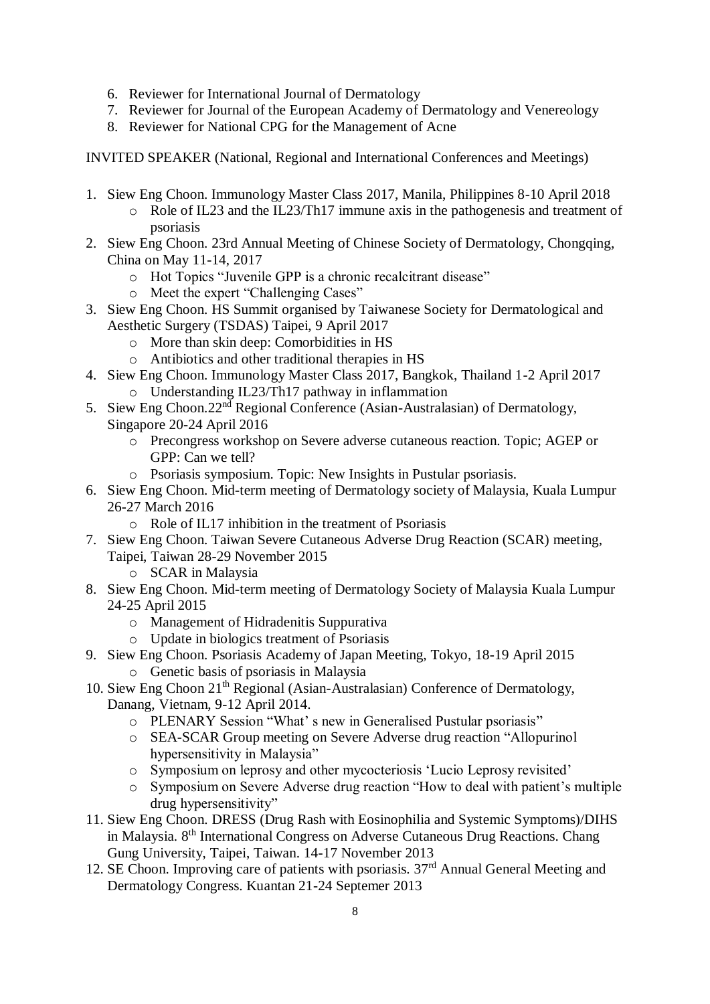- 6. Reviewer for International Journal of Dermatology
- 7. Reviewer for Journal of the European Academy of Dermatology and Venereology
- 8. Reviewer for National CPG for the Management of Acne

INVITED SPEAKER (National, Regional and International Conferences and Meetings)

- 1. Siew Eng Choon. Immunology Master Class 2017, Manila, Philippines 8-10 April 2018
	- o Role of IL23 and the IL23/Th17 immune axis in the pathogenesis and treatment of psoriasis
- 2. Siew Eng Choon. 23rd Annual Meeting of Chinese Society of Dermatology, Chongqing, China on May 11-14, 2017
	- o Hot Topics "Juvenile GPP is a chronic recalcitrant disease"
	- o Meet the expert "Challenging Cases"
- 3. Siew Eng Choon. HS Summit organised by Taiwanese Society for Dermatological and Aesthetic Surgery (TSDAS) Taipei, 9 April 2017
	- o More than skin deep: Comorbidities in HS
	- o Antibiotics and other traditional therapies in HS
- 4. Siew Eng Choon. Immunology Master Class 2017, Bangkok, Thailand 1-2 April 2017 o Understanding IL23/Th17 pathway in inflammation
- 5. Siew Eng Choon.22<sup>nd</sup> Regional Conference (Asian-Australasian) of Dermatology, Singapore 20-24 April 2016
	- o Precongress workshop on Severe adverse cutaneous reaction. Topic; AGEP or GPP: Can we tell?
	- o Psoriasis symposium. Topic: New Insights in Pustular psoriasis.
- 6. Siew Eng Choon. Mid-term meeting of Dermatology society of Malaysia, Kuala Lumpur 26-27 March 2016
	- o Role of IL17 inhibition in the treatment of Psoriasis
- 7. Siew Eng Choon. Taiwan Severe Cutaneous Adverse Drug Reaction (SCAR) meeting, Taipei, Taiwan 28-29 November 2015
	- o SCAR in Malaysia
- 8. Siew Eng Choon. Mid-term meeting of Dermatology Society of Malaysia Kuala Lumpur 24-25 April 2015
	- o Management of Hidradenitis Suppurativa
	- o Update in biologics treatment of Psoriasis
- 9. Siew Eng Choon. Psoriasis Academy of Japan Meeting, Tokyo, 18-19 April 2015 o Genetic basis of psoriasis in Malaysia
- 10. Siew Eng Choon 21<sup>th</sup> Regional (Asian-Australasian) Conference of Dermatology, Danang, Vietnam, 9-12 April 2014.
	- o PLENARY Session "What' s new in Generalised Pustular psoriasis"
	- o SEA-SCAR Group meeting on Severe Adverse drug reaction "Allopurinol hypersensitivity in Malaysia"
	- o Symposium on leprosy and other mycocteriosis 'Lucio Leprosy revisited'
	- o Symposium on Severe Adverse drug reaction "How to deal with patient's multiple drug hypersensitivity"
- 11. Siew Eng Choon. DRESS (Drug Rash with Eosinophilia and Systemic Symptoms)/DIHS in Malaysia. 8th International Congress on Adverse Cutaneous Drug Reactions. Chang Gung University, Taipei, Taiwan. 14-17 November 2013
- 12. SE Choon. Improving care of patients with psoriasis.  $37<sup>rd</sup>$  Annual General Meeting and Dermatology Congress. Kuantan 21-24 Septemer 2013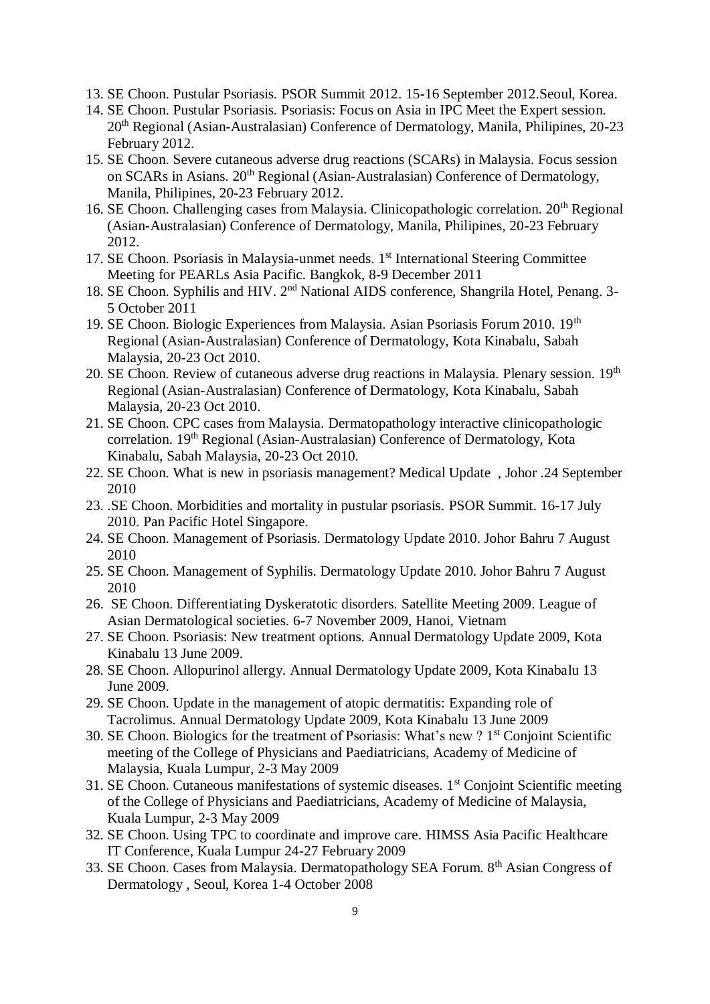- 13. SE Choon. Pustular Psoriasis. PSOR Summit 2012. 15-16 September 2012.Seoul, Korea.
- 14. SE Choon. Pustular Psoriasis. Psoriasis: Focus on Asia in IPC Meet the Expert session. 20<sup>th</sup> Regional (Asian-Australasian) Conference of Dermatology, Manila, Philipines, 20-23 February 2012.
- 15. SE Choon. Severe cutaneous adverse drug reactions (SCARs) in Malaysia. Focus session on SCARs in Asians. 20th Regional (Asian-Australasian) Conference of Dermatology, Manila, Philipines, 20-23 February 2012.
- 16. SE Choon. Challenging cases from Malaysia. Clinicopathologic correlation. 20<sup>th</sup> Regional (Asian-Australasian) Conference of Dermatology, Manila, Philipines, 20-23 February 2012.
- 17. SE Choon. Psoriasis in Malaysia-unmet needs. 1<sup>st</sup> International Steering Committee Meeting for PEARLs Asia Pacific. Bangkok, 8-9 December 2011
- 18. SE Choon. Syphilis and HIV. 2nd National AIDS conference, Shangrila Hotel, Penang. 3- 5 October 2011
- 19. SE Choon. Biologic Experiences from Malaysia. Asian Psoriasis Forum 2010. 19<sup>th</sup> Regional (Asian-Australasian) Conference of Dermatology, Kota Kinabalu, Sabah Malaysia, 20-23 Oct 2010.
- 20. SE Choon. Review of cutaneous adverse drug reactions in Malaysia. Plenary session.  $19<sup>th</sup>$ Regional (Asian-Australasian) Conference of Dermatology, Kota Kinabalu, Sabah Malaysia, 20-23 Oct 2010.
- 21. SE Choon. CPC cases from Malaysia. Dermatopathology interactive clinicopathologic correlation. 19<sup>th</sup> Regional (Asian-Australasian) Conference of Dermatology, Kota Kinabalu, Sabah Malaysia, 20-23 Oct 2010.
- 22. SE Choon. What is new in psoriasis management? Medical Update , Johor .24 September 2010
- 23. .SE Choon. Morbidities and mortality in pustular psoriasis. PSOR Summit. 16-17 July 2010. Pan Pacific Hotel Singapore.
- 24. SE Choon. Management of Psoriasis. Dermatology Update 2010. Johor Bahru 7 August 2010
- 25. SE Choon. Management of Syphilis. Dermatology Update 2010. Johor Bahru 7 August 2010
- 26. SE Choon. Differentiating Dyskeratotic disorders. Satellite Meeting 2009. League of Asian Dermatological societies. 6-7 November 2009, Hanoi, Vietnam
- 27. SE Choon. Psoriasis: New treatment options. Annual Dermatology Update 2009, Kota Kinabalu 13 June 2009.
- 28. SE Choon. Allopurinol allergy. Annual Dermatology Update 2009, Kota Kinabalu 13 June 2009.
- 29. SE Choon. Update in the management of atopic dermatitis: Expanding role of Tacrolimus. Annual Dermatology Update 2009, Kota Kinabalu 13 June 2009
- 30. SE Choon. Biologics for the treatment of Psoriasis: What's new ? 1<sup>st</sup> Conjoint Scientific meeting of the College of Physicians and Paediatricians, Academy of Medicine of Malaysia, Kuala Lumpur, 2-3 May 2009
- 31. SE Choon. Cutaneous manifestations of systemic diseases.  $1<sup>st</sup>$  Conjoint Scientific meeting of the College of Physicians and Paediatricians, Academy of Medicine of Malaysia, Kuala Lumpur, 2-3 May 2009
- 32. SE Choon. Using TPC to coordinate and improve care. HIMSS Asia Pacific Healthcare IT Conference, Kuala Lumpur 24-27 February 2009
- 33. SE Choon. Cases from Malaysia. Dermatopathology SEA Forum. 8th Asian Congress of Dermatology , Seoul, Korea 1-4 October 2008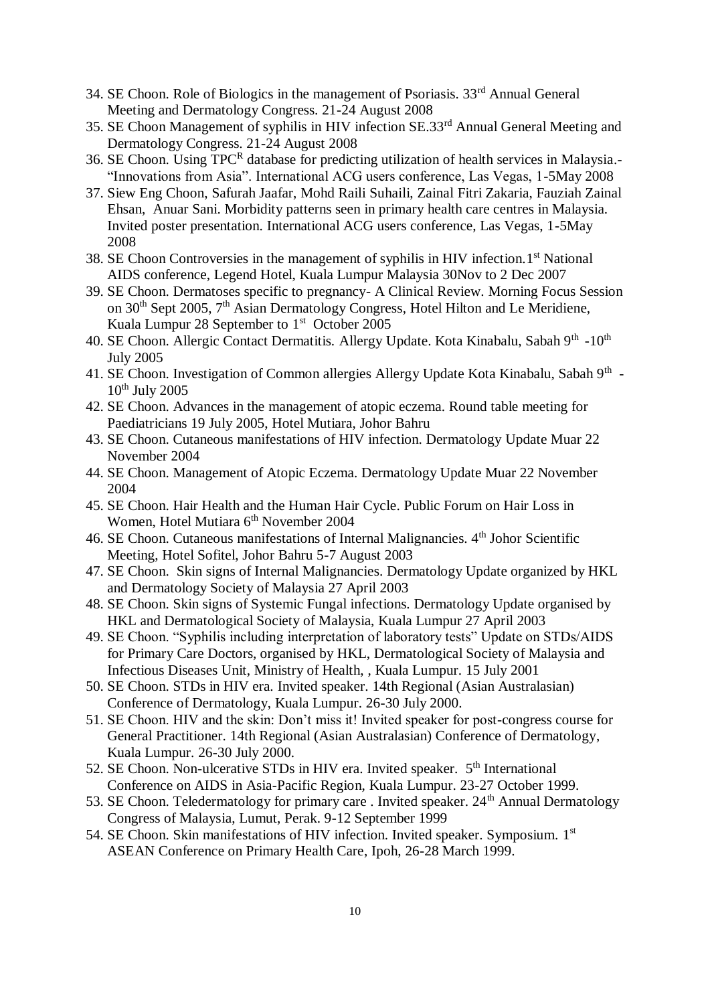- 34. SE Choon. Role of Biologics in the management of Psoriasis. 33rd Annual General Meeting and Dermatology Congress. 21-24 August 2008
- 35. SE Choon Management of syphilis in HIV infection SE.33rd Annual General Meeting and Dermatology Congress. 21-24 August 2008
- 36. SE Choon. Using TPCR database for predicting utilization of health services in Malaysia.-"Innovations from Asia". International ACG users conference, Las Vegas, 1-5May 2008
- 37. Siew Eng Choon, Safurah Jaafar, Mohd Raili Suhaili, Zainal Fitri Zakaria, Fauziah Zainal Ehsan, Anuar Sani. Morbidity patterns seen in primary health care centres in Malaysia. Invited poster presentation. International ACG users conference, Las Vegas, 1-5May 2008
- 38. SE Choon Controversies in the management of syphilis in HIV infection. 1st National AIDS conference, Legend Hotel, Kuala Lumpur Malaysia 30Nov to 2 Dec 2007
- 39. SE Choon. Dermatoses specific to pregnancy- A Clinical Review. Morning Focus Session on 30<sup>th</sup> Sept 2005, 7<sup>th</sup> Asian Dermatology Congress, Hotel Hilton and Le Meridiene, Kuala Lumpur 28 September to 1<sup>st</sup> October 2005
- 40. SE Choon. Allergic Contact Dermatitis. Allergy Update. Kota Kinabalu, Sabah 9<sup>th</sup> -10<sup>th</sup> July 2005
- 41. SE Choon. Investigation of Common allergies Allergy Update Kota Kinabalu, Sabah 9<sup>th</sup> - $10<sup>th</sup>$  July 2005
- 42. SE Choon. Advances in the management of atopic eczema. Round table meeting for Paediatricians 19 July 2005, Hotel Mutiara, Johor Bahru
- 43. SE Choon. Cutaneous manifestations of HIV infection. Dermatology Update Muar 22 November 2004
- 44. SE Choon. Management of Atopic Eczema. Dermatology Update Muar 22 November 2004
- 45. SE Choon. Hair Health and the Human Hair Cycle. Public Forum on Hair Loss in Women, Hotel Mutiara 6<sup>th</sup> November 2004
- 46. SE Choon. Cutaneous manifestations of Internal Malignancies. 4th Johor Scientific Meeting, Hotel Sofitel, Johor Bahru 5-7 August 2003
- 47. SE Choon. Skin signs of Internal Malignancies. Dermatology Update organized by HKL and Dermatology Society of Malaysia 27 April 2003
- 48. SE Choon. Skin signs of Systemic Fungal infections. Dermatology Update organised by HKL and Dermatological Society of Malaysia, Kuala Lumpur 27 April 2003
- 49. SE Choon. "Syphilis including interpretation of laboratory tests" Update on STDs/AIDS for Primary Care Doctors, organised by HKL, Dermatological Society of Malaysia and Infectious Diseases Unit, Ministry of Health, , Kuala Lumpur. 15 July 2001
- 50. SE Choon. STDs in HIV era. Invited speaker. 14th Regional (Asian Australasian) Conference of Dermatology, Kuala Lumpur. 26-30 July 2000.
- 51. SE Choon. HIV and the skin: Don't miss it! Invited speaker for post-congress course for General Practitioner. 14th Regional (Asian Australasian) Conference of Dermatology, Kuala Lumpur. 26-30 July 2000.
- 52. SE Choon. Non-ulcerative STDs in HIV era. Invited speaker. 5<sup>th</sup> International Conference on AIDS in Asia-Pacific Region, Kuala Lumpur. 23-27 October 1999.
- 53. SE Choon. Teledermatology for primary care . Invited speaker.  $24<sup>th</sup>$  Annual Dermatology Congress of Malaysia, Lumut, Perak. 9-12 September 1999
- 54. SE Choon. Skin manifestations of HIV infection. Invited speaker. Symposium. 1st ASEAN Conference on Primary Health Care, Ipoh, 26-28 March 1999.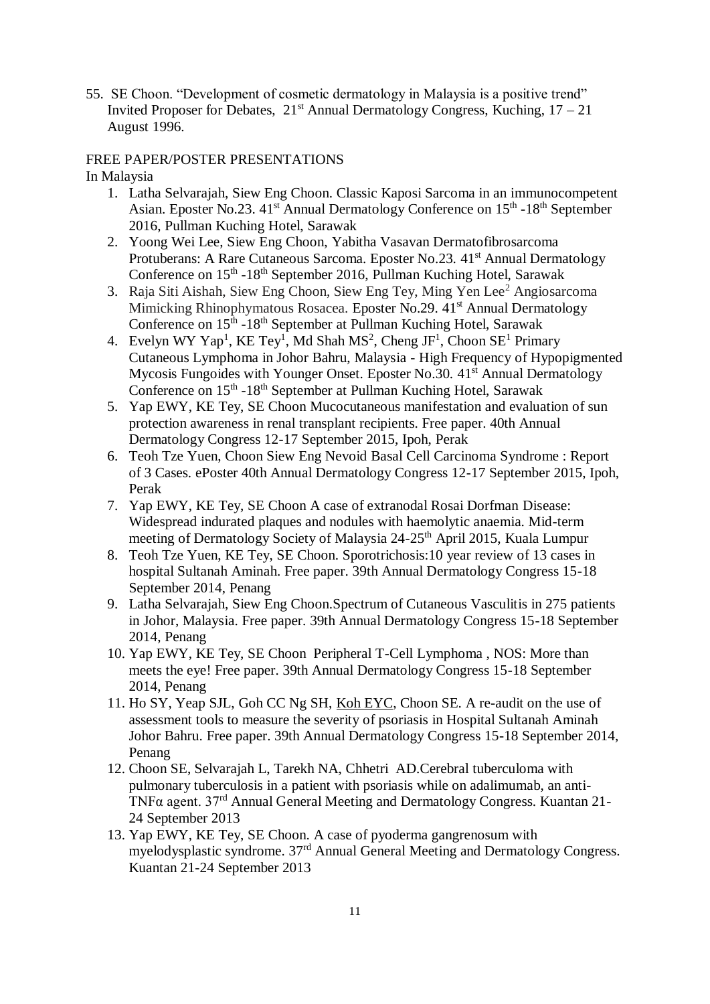55. SE Choon. "Development of cosmetic dermatology in Malaysia is a positive trend" Invited Proposer for Debates,  $21<sup>st</sup>$  Annual Dermatology Congress, Kuching,  $17 - 21$ August 1996.

#### FREE PAPER/POSTER PRESENTATIONS

In Malaysia

- 1. Latha Selvarajah, Siew Eng Choon. Classic Kaposi Sarcoma in an immunocompetent Asian. Eposter No.23. 41<sup>st</sup> Annual Dermatology Conference on 15<sup>th</sup> -18<sup>th</sup> September 2016, Pullman Kuching Hotel, Sarawak
- 2. Yoong Wei Lee, Siew Eng Choon, Yabitha Vasavan Dermatofibrosarcoma Protuberans: A Rare Cutaneous Sarcoma. Eposter No.23. 41<sup>st</sup> Annual Dermatology Conference on 15<sup>th</sup> -18<sup>th</sup> September 2016, Pullman Kuching Hotel, Sarawak
- 3. Raja Siti Aishah, Siew Eng Choon, Siew Eng Tey, Ming Yen Lee<sup>2</sup> Angiosarcoma Mimicking Rhinophymatous Rosacea. Eposter No.29. 41<sup>st</sup> Annual Dermatology Conference on 15<sup>th</sup> -18<sup>th</sup> September at Pullman Kuching Hotel, Sarawak
- 4. Evelyn WY Yap<sup>1</sup>, KE Tey<sup>1</sup>, Md Shah MS<sup>2</sup>, Cheng JF<sup>1</sup>, Choon SE<sup>1</sup> Primary Cutaneous Lymphoma in Johor Bahru, Malaysia - High Frequency of Hypopigmented Mycosis Fungoides with Younger Onset. Eposter No. 30, 41<sup>st</sup> Annual Dermatology Conference on 15<sup>th</sup> -18<sup>th</sup> September at Pullman Kuching Hotel, Sarawak
- 5. Yap EWY, KE Tey, SE Choon Mucocutaneous manifestation and evaluation of sun protection awareness in renal transplant recipients. Free paper. 40th Annual Dermatology Congress 12-17 September 2015, Ipoh, Perak
- 6. Teoh Tze Yuen, Choon Siew Eng Nevoid Basal Cell Carcinoma Syndrome : Report of 3 Cases. ePoster 40th Annual Dermatology Congress 12-17 September 2015, Ipoh, Perak
- 7. Yap EWY, KE Tey, SE Choon A case of extranodal Rosai Dorfman Disease: Widespread indurated plaques and nodules with haemolytic anaemia. Mid-term meeting of Dermatology Society of Malaysia 24-25<sup>th</sup> April 2015, Kuala Lumpur
- 8. Teoh Tze Yuen, KE Tey, SE Choon. Sporotrichosis:10 year review of 13 cases in hospital Sultanah Aminah. Free paper. 39th Annual Dermatology Congress 15-18 September 2014, Penang
- 9. Latha Selvarajah, Siew Eng Choon.Spectrum of Cutaneous Vasculitis in 275 patients in Johor, Malaysia. Free paper. 39th Annual Dermatology Congress 15-18 September 2014, Penang
- 10. Yap EWY, KE Tey, SE Choon Peripheral T-Cell Lymphoma , NOS: More than meets the eye! Free paper. 39th Annual Dermatology Congress 15-18 September 2014, Penang
- 11. Ho SY, Yeap SJL, Goh CC Ng SH, Koh EYC, Choon SE. A re-audit on the use of assessment tools to measure the severity of psoriasis in Hospital Sultanah Aminah Johor Bahru. Free paper. 39th Annual Dermatology Congress 15-18 September 2014, Penang
- 12. Choon SE, Selvarajah L, Tarekh NA, Chhetri AD.Cerebral tuberculoma with pulmonary tuberculosis in a patient with psoriasis while on adalimumab, an anti-TNFα agent. 37rd Annual General Meeting and Dermatology Congress. Kuantan 21- 24 September 2013
- 13. Yap EWY, KE Tey, SE Choon. A case of pyoderma gangrenosum with myelodysplastic syndrome. 37rd Annual General Meeting and Dermatology Congress. Kuantan 21-24 September 2013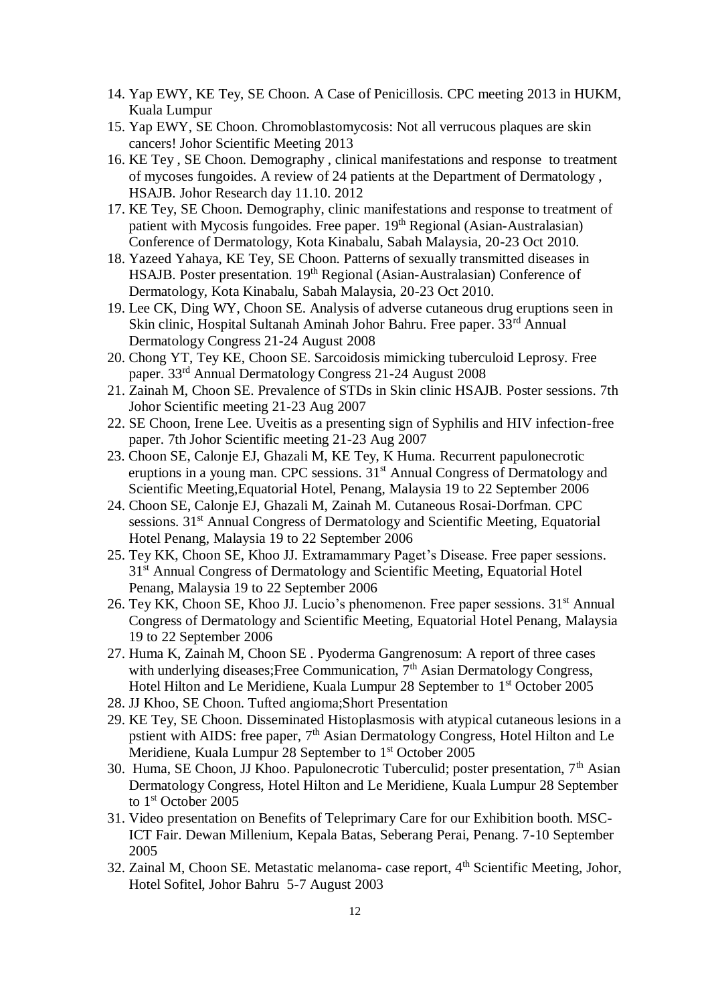- 14. Yap EWY, KE Tey, SE Choon. A Case of Penicillosis. CPC meeting 2013 in HUKM, Kuala Lumpur
- 15. Yap EWY, SE Choon. Chromoblastomycosis: Not all verrucous plaques are skin cancers! Johor Scientific Meeting 2013
- 16. KE Tey , SE Choon. Demography , clinical manifestations and response to treatment of mycoses fungoides. A review of 24 patients at the Department of Dermatology , HSAJB. Johor Research day 11.10. 2012
- 17. KE Tey, SE Choon. Demography, clinic manifestations and response to treatment of patient with Mycosis fungoides. Free paper.  $19<sup>th</sup>$  Regional (Asian-Australasian) Conference of Dermatology, Kota Kinabalu, Sabah Malaysia, 20-23 Oct 2010.
- 18. Yazeed Yahaya, KE Tey, SE Choon. Patterns of sexually transmitted diseases in HSAJB. Poster presentation. 19<sup>th</sup> Regional (Asian-Australasian) Conference of Dermatology, Kota Kinabalu, Sabah Malaysia, 20-23 Oct 2010.
- 19. Lee CK, Ding WY, Choon SE. Analysis of adverse cutaneous drug eruptions seen in Skin clinic, Hospital Sultanah Aminah Johor Bahru. Free paper. 33rd Annual Dermatology Congress 21-24 August 2008
- 20. Chong YT, Tey KE, Choon SE. Sarcoidosis mimicking tuberculoid Leprosy. Free paper. 33rd Annual Dermatology Congress 21-24 August 2008
- 21. Zainah M, Choon SE. Prevalence of STDs in Skin clinic HSAJB. Poster sessions. 7th Johor Scientific meeting 21-23 Aug 2007
- 22. SE Choon, Irene Lee. Uveitis as a presenting sign of Syphilis and HIV infection-free paper. 7th Johor Scientific meeting 21-23 Aug 2007
- 23. Choon SE, Calonje EJ, Ghazali M, KE Tey, K Huma. Recurrent papulonecrotic eruptions in a young man. CPC sessions.  $31<sup>st</sup>$  Annual Congress of Dermatology and Scientific Meeting,Equatorial Hotel, Penang, Malaysia 19 to 22 September 2006
- 24. Choon SE, Calonje EJ, Ghazali M, Zainah M. Cutaneous Rosai-Dorfman. CPC sessions. 31<sup>st</sup> Annual Congress of Dermatology and Scientific Meeting, Equatorial Hotel Penang, Malaysia 19 to 22 September 2006
- 25. Tey KK, Choon SE, Khoo JJ. Extramammary Paget's Disease. Free paper sessions. 31<sup>st</sup> Annual Congress of Dermatology and Scientific Meeting, Equatorial Hotel Penang, Malaysia 19 to 22 September 2006
- 26. Tey KK, Choon SE, Khoo JJ. Lucio's phenomenon. Free paper sessions. 31st Annual Congress of Dermatology and Scientific Meeting, Equatorial Hotel Penang, Malaysia 19 to 22 September 2006
- 27. Huma K, Zainah M, Choon SE . Pyoderma Gangrenosum: A report of three cases with underlying diseases; Free Communication, 7<sup>th</sup> Asian Dermatology Congress, Hotel Hilton and Le Meridiene, Kuala Lumpur 28 September to 1<sup>st</sup> October 2005
- 28. JJ Khoo, SE Choon. Tufted angioma;Short Presentation
- 29. KE Tey, SE Choon. Disseminated Histoplasmosis with atypical cutaneous lesions in a pstient with AIDS: free paper, 7<sup>th</sup> Asian Dermatology Congress, Hotel Hilton and Le Meridiene, Kuala Lumpur 28 September to 1<sup>st</sup> October 2005
- 30. Huma, SE Choon, JJ Khoo. Papulonecrotic Tuberculid; poster presentation, 7<sup>th</sup> Asian Dermatology Congress, Hotel Hilton and Le Meridiene, Kuala Lumpur 28 September to 1<sup>st</sup> October 2005
- 31. Video presentation on Benefits of Teleprimary Care for our Exhibition booth. MSC-ICT Fair. Dewan Millenium, Kepala Batas, Seberang Perai, Penang. 7-10 September 2005
- 32. Zainal M, Choon SE. Metastatic melanoma- case report, 4<sup>th</sup> Scientific Meeting, Johor, Hotel Sofitel, Johor Bahru 5-7 August 2003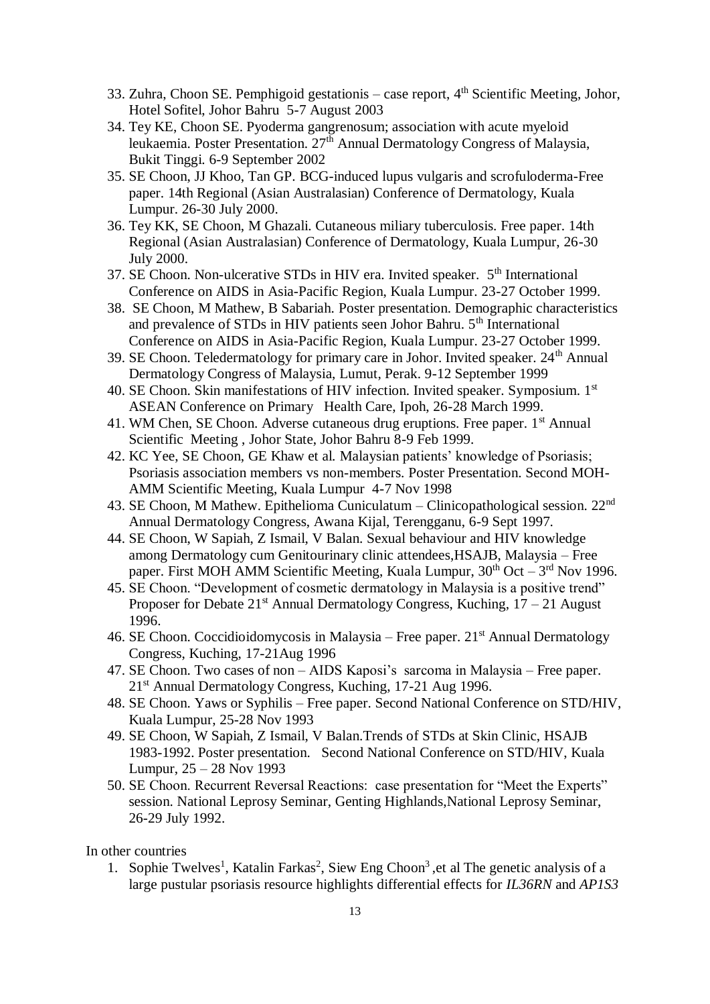- 33. Zuhra, Choon SE. Pemphigoid gestationis case report,  $4<sup>th</sup>$  Scientific Meeting, Johor, Hotel Sofitel, Johor Bahru 5-7 August 2003
- 34. Tey KE, Choon SE. Pyoderma gangrenosum; association with acute myeloid leukaemia. Poster Presentation. 27<sup>th</sup> Annual Dermatology Congress of Malaysia, Bukit Tinggi. 6-9 September 2002
- 35. SE Choon, JJ Khoo, Tan GP. BCG-induced lupus vulgaris and scrofuloderma-Free paper. 14th Regional (Asian Australasian) Conference of Dermatology, Kuala Lumpur. 26-30 July 2000.
- 36. Tey KK, SE Choon, M Ghazali. Cutaneous miliary tuberculosis. Free paper. 14th Regional (Asian Australasian) Conference of Dermatology, Kuala Lumpur, 26-30 July 2000.
- 37. SE Choon. Non-ulcerative STDs in HIV era. Invited speaker. 5<sup>th</sup> International Conference on AIDS in Asia-Pacific Region, Kuala Lumpur. 23-27 October 1999.
- 38. SE Choon, M Mathew, B Sabariah. Poster presentation. Demographic characteristics and prevalence of STDs in HIV patients seen Johor Bahru. 5<sup>th</sup> International Conference on AIDS in Asia-Pacific Region, Kuala Lumpur. 23-27 October 1999.
- 39. SE Choon. Teledermatology for primary care in Johor. Invited speaker. 24<sup>th</sup> Annual Dermatology Congress of Malaysia, Lumut, Perak. 9-12 September 1999
- 40. SE Choon. Skin manifestations of HIV infection. Invited speaker. Symposium. 1st ASEAN Conference on Primary Health Care, Ipoh, 26-28 March 1999.
- 41. WM Chen, SE Choon. Adverse cutaneous drug eruptions. Free paper.  $1<sup>st</sup>$  Annual Scientific Meeting , Johor State, Johor Bahru 8-9 Feb 1999.
- 42. KC Yee, SE Choon, GE Khaw et al. Malaysian patients' knowledge of Psoriasis; Psoriasis association members vs non-members. Poster Presentation. Second MOH-AMM Scientific Meeting, Kuala Lumpur 4-7 Nov 1998
- 43. SE Choon, M Mathew. Epithelioma Cuniculatum Clinicopathological session. 22nd Annual Dermatology Congress, Awana Kijal, Terengganu, 6-9 Sept 1997.
- 44. SE Choon, W Sapiah, Z Ismail, V Balan. Sexual behaviour and HIV knowledge among Dermatology cum Genitourinary clinic attendees,HSAJB, Malaysia – Free paper. First MOH AMM Scientific Meeting, Kuala Lumpur,  $30<sup>th</sup>$  Oct  $-3<sup>rd</sup>$  Nov 1996.
- 45. SE Choon. "Development of cosmetic dermatology in Malaysia is a positive trend" Proposer for Debate  $21^{st}$  Annual Dermatology Congress, Kuching,  $17 - 21$  August 1996.
- 46. SE Choon. Coccidioidomycosis in Malaysia Free paper.  $21<sup>st</sup>$  Annual Dermatology Congress, Kuching, 17-21Aug 1996
- 47. SE Choon. Two cases of non AIDS Kaposi's sarcoma in Malaysia Free paper. 21<sup>st</sup> Annual Dermatology Congress, Kuching, 17-21 Aug 1996.
- 48. SE Choon. Yaws or Syphilis Free paper. Second National Conference on STD/HIV, Kuala Lumpur, 25-28 Nov 1993
- 49. SE Choon, W Sapiah, Z Ismail, V Balan.Trends of STDs at Skin Clinic, HSAJB 1983-1992. Poster presentation. Second National Conference on STD/HIV, Kuala Lumpur, 25 – 28 Nov 1993
- 50. SE Choon. Recurrent Reversal Reactions: case presentation for "Meet the Experts" session. National Leprosy Seminar, Genting Highlands,National Leprosy Seminar, 26-29 July 1992.

In other countries

1. Sophie Twelves<sup>1</sup>, Katalin Farkas<sup>2</sup>, Siew Eng Choon<sup>3</sup>, et al The genetic analysis of a large pustular psoriasis resource highlights differential effects for *IL36RN* and *AP1S3*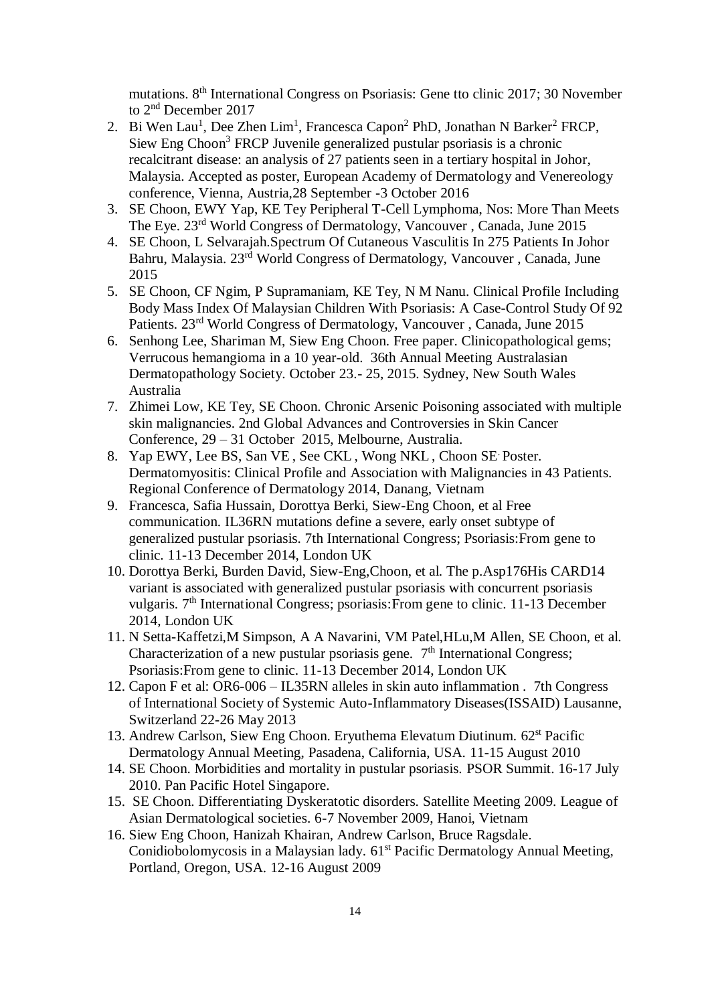mutations. 8th International Congress on Psoriasis: Gene tto clinic 2017; 30 November to 2<sup>nd</sup> December 2017

- 2. Bi Wen Lau<sup>1</sup>, Dee Zhen Lim<sup>1</sup>, Francesca Capon<sup>2</sup> PhD, Jonathan N Barker<sup>2</sup> FRCP, Siew Eng Choon<sup>3</sup> FRCP Juvenile generalized pustular psoriasis is a chronic recalcitrant disease: an analysis of 27 patients seen in a tertiary hospital in Johor, Malaysia. Accepted as poster, European Academy of Dermatology and Venereology conference, Vienna, Austria,28 September -3 October 2016
- 3. SE Choon, EWY Yap, KE Tey Peripheral T-Cell Lymphoma, Nos: More Than Meets The Eye. 23rd World Congress of Dermatology, Vancouver , Canada, June 2015
- 4. SE Choon, L Selvarajah.Spectrum Of Cutaneous Vasculitis In 275 Patients In Johor Bahru, Malaysia. 23rd World Congress of Dermatology, Vancouver , Canada, June 2015
- 5. SE Choon, CF Ngim, P Supramaniam, KE Tey, N M Nanu. Clinical Profile Including Body Mass Index Of Malaysian Children With Psoriasis: A Case-Control Study Of 92 Patients. 23rd World Congress of Dermatology, Vancouver , Canada, June 2015
- 6. Senhong Lee, Shariman M, Siew Eng Choon. Free paper. Clinicopathological gems; Verrucous hemangioma in a 10 year-old. 36th Annual Meeting Australasian Dermatopathology Society. October 23.- 25, 2015. Sydney, New South Wales Australia
- 7. Zhimei Low, KE Tey, SE Choon. Chronic Arsenic Poisoning associated with multiple skin malignancies. 2nd Global Advances and Controversies in Skin Cancer Conference, 29 – 31 October 2015, Melbourne, Australia.
- 8. Yap EWY, Lee BS, San VE , See CKL , Wong NKL , Choon SE. Poster. Dermatomyositis: Clinical Profile and Association with Malignancies in 43 Patients. Regional Conference of Dermatology 2014, Danang, Vietnam
- 9. Francesca, Safia Hussain, Dorottya Berki, Siew-Eng Choon, et al Free communication. IL36RN mutations define a severe, early onset subtype of generalized pustular psoriasis. 7th International Congress; Psoriasis:From gene to clinic. 11-13 December 2014, London UK
- 10. Dorottya Berki, Burden David, Siew-Eng,Choon, et al. The p.Asp176His CARD14 variant is associated with generalized pustular psoriasis with concurrent psoriasis vulgaris. 7<sup>th</sup> International Congress; psoriasis: From gene to clinic. 11-13 December 2014, London UK
- 11. N Setta-Kaffetzi,M Simpson, A A Navarini, VM Patel,HLu,M Allen, SE Choon, et al. Characterization of a new pustular psoriasis gene. 7<sup>th</sup> International Congress; Psoriasis:From gene to clinic. 11-13 December 2014, London UK
- 12. Capon F et al: OR6-006 IL35RN alleles in skin auto inflammation . 7th Congress of International Society of Systemic Auto-Inflammatory Diseases(ISSAID) Lausanne, Switzerland 22-26 May 2013
- 13. Andrew Carlson, Siew Eng Choon. Eryuthema Elevatum Diutinum. 62<sup>st</sup> Pacific Dermatology Annual Meeting, Pasadena, California, USA. 11-15 August 2010
- 14. SE Choon. Morbidities and mortality in pustular psoriasis. PSOR Summit. 16-17 July 2010. Pan Pacific Hotel Singapore.
- 15. SE Choon. Differentiating Dyskeratotic disorders. Satellite Meeting 2009. League of Asian Dermatological societies. 6-7 November 2009, Hanoi, Vietnam
- 16. Siew Eng Choon, Hanizah Khairan, Andrew Carlson, Bruce Ragsdale. Conidiobolomycosis in a Malaysian lady. 61<sup>st</sup> Pacific Dermatology Annual Meeting, Portland, Oregon, USA. 12-16 August 2009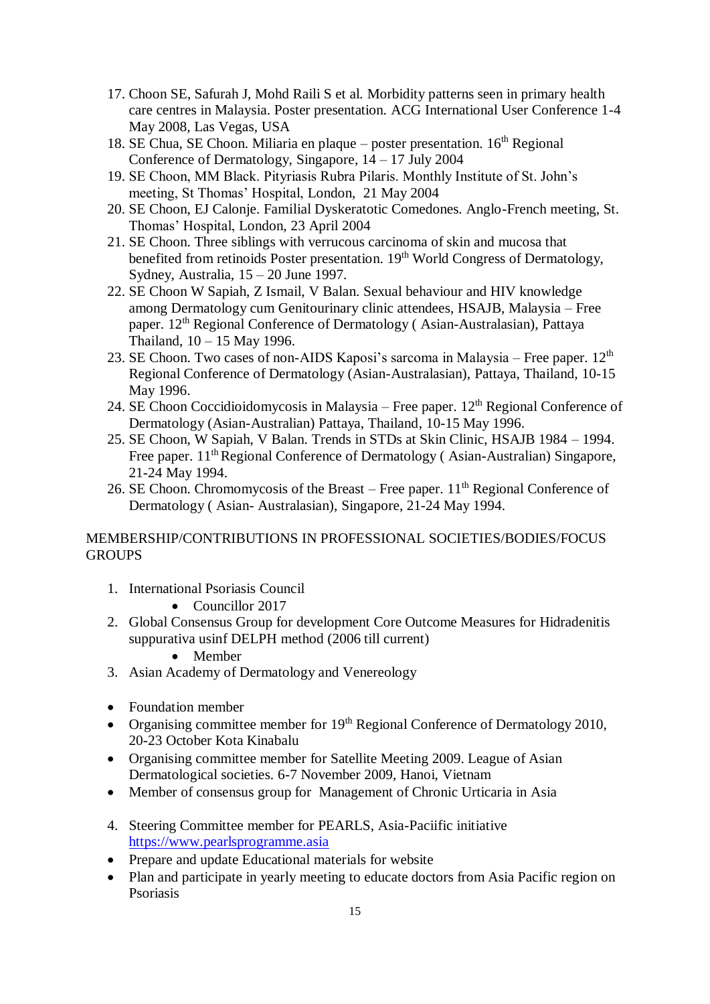- 17. Choon SE, Safurah J, Mohd Raili S et al. Morbidity patterns seen in primary health care centres in Malaysia. Poster presentation. ACG International User Conference 1-4 May 2008, Las Vegas, USA
- 18. SE Chua, SE Choon. Miliaria en plaque poster presentation.  $16<sup>th</sup>$  Regional Conference of Dermatology, Singapore,  $14 - 17$  July 2004
- 19. SE Choon, MM Black. Pityriasis Rubra Pilaris. Monthly Institute of St. John's meeting, St Thomas' Hospital, London, 21 May 2004
- 20. SE Choon, EJ Calonje. Familial Dyskeratotic Comedones. Anglo-French meeting, St. Thomas' Hospital, London, 23 April 2004
- 21. SE Choon. Three siblings with verrucous carcinoma of skin and mucosa that benefited from retinoids Poster presentation. 19<sup>th</sup> World Congress of Dermatology, Sydney, Australia, 15 – 20 June 1997.
- 22. SE Choon W Sapiah, Z Ismail, V Balan. Sexual behaviour and HIV knowledge among Dermatology cum Genitourinary clinic attendees, HSAJB, Malaysia – Free paper. 12th Regional Conference of Dermatology ( Asian-Australasian), Pattaya Thailand, 10 – 15 May 1996.
- 23. SE Choon. Two cases of non-AIDS Kaposi's sarcoma in Malaysia Free paper.  $12<sup>th</sup>$ Regional Conference of Dermatology (Asian-Australasian), Pattaya, Thailand, 10-15 May 1996.
- 24. SE Choon Coccidioidomycosis in Malaysia Free paper.  $12<sup>th</sup>$  Regional Conference of Dermatology (Asian-Australian) Pattaya, Thailand, 10-15 May 1996.
- 25. SE Choon, W Sapiah, V Balan. Trends in STDs at Skin Clinic, HSAJB 1984 1994. Free paper. 11<sup>th</sup> Regional Conference of Dermatology (Asian-Australian) Singapore, 21-24 May 1994.
- 26. SE Choon. Chromomycosis of the Breast Free paper.  $11<sup>th</sup>$  Regional Conference of Dermatology ( Asian- Australasian), Singapore, 21-24 May 1994.

#### MEMBERSHIP/CONTRIBUTIONS IN PROFESSIONAL SOCIETIES/BODIES/FOCUS **GROUPS**

- 1. International Psoriasis Council
	- Councillor 2017
- 2. Global Consensus Group for development Core Outcome Measures for Hidradenitis suppurativa usinf DELPH method (2006 till current)
	- Member
- 3. Asian Academy of Dermatology and Venereology
- Foundation member
- Organising committee member for 19<sup>th</sup> Regional Conference of Dermatology 2010, 20-23 October Kota Kinabalu
- Organising committee member for Satellite Meeting 2009. League of Asian Dermatological societies. 6-7 November 2009, Hanoi, Vietnam
- Member of consensus group for Management of Chronic Urticaria in Asia
- 4. Steering Committee member for PEARLS, Asia-Paciific initiative [https://www.pearlsprogramme.asia](https://www.pearlsprogramme.asia/)
- Prepare and update Educational materials for website
- Plan and participate in yearly meeting to educate doctors from Asia Pacific region on Psoriasis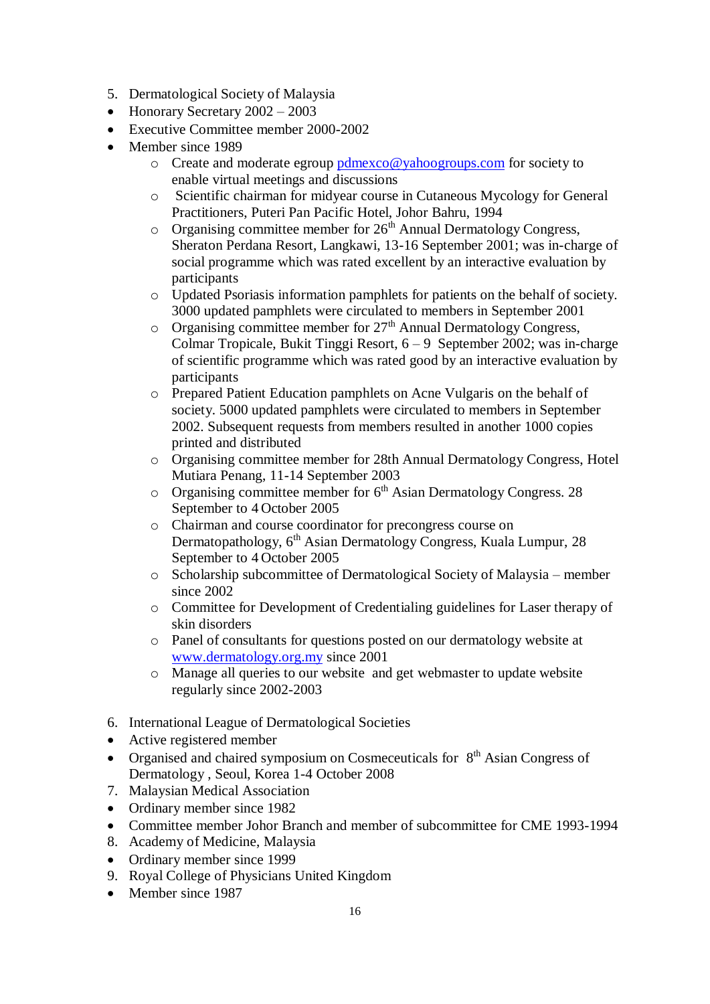- 5. Dermatological Society of Malaysia
- $\bullet$  Honorary Secretary 2002 2003
- Executive Committee member 2000-2002
- Member since 1989
	- $\circ$  Create and moderate egroup [pdmexco@yahoogroups.com](mailto:pdmexco@yahoogroups.com) for society to enable virtual meetings and discussions
	- o Scientific chairman for midyear course in Cutaneous Mycology for General Practitioners, Puteri Pan Pacific Hotel, Johor Bahru, 1994
	- $\circ$  Organising committee member for  $26<sup>th</sup>$  Annual Dermatology Congress, Sheraton Perdana Resort, Langkawi, 13-16 September 2001; was in-charge of social programme which was rated excellent by an interactive evaluation by participants
	- o Updated Psoriasis information pamphlets for patients on the behalf of society. 3000 updated pamphlets were circulated to members in September 2001
	- $\circ$  Organising committee member for  $27<sup>th</sup>$  Annual Dermatology Congress, Colmar Tropicale, Bukit Tinggi Resort, 6 – 9 September 2002; was in-charge of scientific programme which was rated good by an interactive evaluation by participants
	- o Prepared Patient Education pamphlets on Acne Vulgaris on the behalf of society. 5000 updated pamphlets were circulated to members in September 2002. Subsequent requests from members resulted in another 1000 copies printed and distributed
	- o Organising committee member for 28th Annual Dermatology Congress, Hotel Mutiara Penang, 11-14 September 2003
	- o Organising committee member for 6<sup>th</sup> Asian Dermatology Congress. 28 September to 4 October 2005
	- o Chairman and course coordinator for precongress course on Dermatopathology, 6<sup>th</sup> Asian Dermatology Congress, Kuala Lumpur, 28 September to 4 October 2005
	- o Scholarship subcommittee of Dermatological Society of Malaysia member since 2002
	- o Committee for Development of Credentialing guidelines for Laser therapy of skin disorders
	- o Panel of consultants for questions posted on our dermatology website at [www.dermatology.org.my](http://www.dermatology.org.my/) since 2001
	- o Manage all queries to our website and get webmaster to update website regularly since 2002-2003
- 6. International League of Dermatological Societies
- Active registered member
- Organised and chaired symposium on Cosmeceuticals for 8<sup>th</sup> Asian Congress of Dermatology , Seoul, Korea 1-4 October 2008
- 7. Malaysian Medical Association
- Ordinary member since 1982
- Committee member Johor Branch and member of subcommittee for CME 1993-1994
- 8. Academy of Medicine, Malaysia
- Ordinary member since 1999
- 9. Royal College of Physicians United Kingdom
- Member since 1987